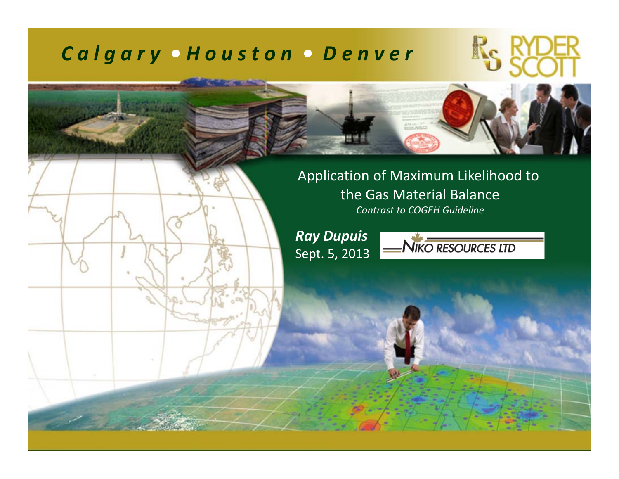#### *C a l g <sup>a</sup> <sup>r</sup> y • H <sup>o</sup> <sup>u</sup> <sup>s</sup> <sup>t</sup> <sup>o</sup> <sup>n</sup> • D <sup>e</sup> <sup>n</sup> <sup>v</sup> <sup>e</sup> <sup>r</sup>*



Application of Maximum Likelihood to the Gas Material Balance *Contrast to COGEH Guideline*

*Ray Dupuis* Sept. 5, 2013

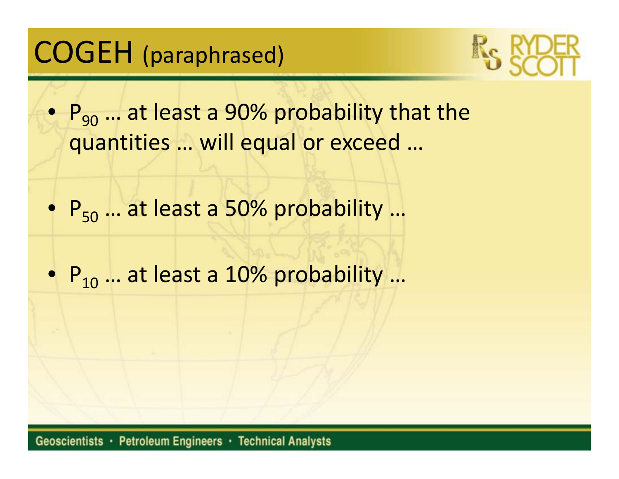# COGEH (paraphrased)



- $\bullet\; {\sf P}_{90}$  ... at least a 90% probability that the quantities … will equal or exceed …
- P<sub>50</sub> ... at least a 50% probability ...
- $\bullet$   $\mathsf{P}_{10}$  ... at least a 10% probability ...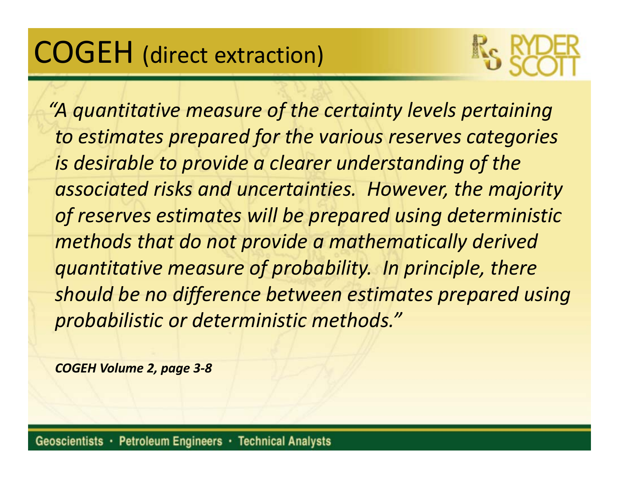# COGEH (direct extraction)



*"A quantitative measure of the certainty levels pertaining to estimates prepared for the various reserves categories is desirable to provide <sup>a</sup> clearer understanding of the associated risks and uncertainties. However, the majority of reserves estimates will be prepared using deterministic methods that do not provide <sup>a</sup> mathematically derived quantitative measure of probability. In principle, there should be no difference between estimates prepared using probabilistic or deterministic methods."*

*COGEH Volume 2, page 3‐8*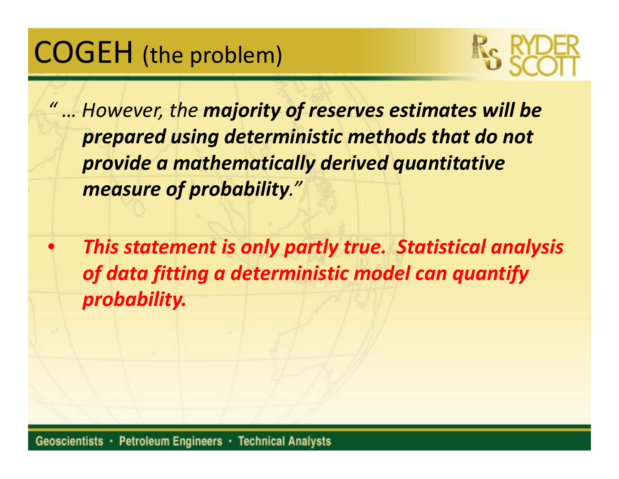# COGEH (the problem)



*" … However, the majority of reserves estimates will be prepared using deterministic methods that do not provide <sup>a</sup> mathematically derived quantitative measure of probability."*

 $\bullet$  *This statement is only partly true. Statistical analysis of data fitting <sup>a</sup> deterministic model can quantify probability.*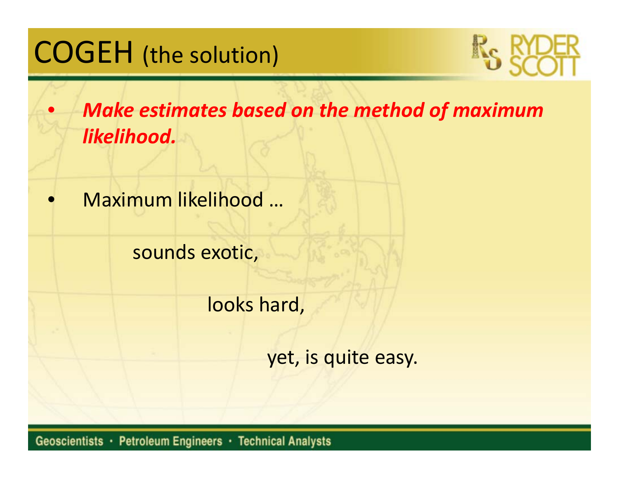# COGEH (the solution)



 $\bullet$  *Make estimates based on the method of maximum likelihood.*

•Maximum likelihood …

sounds exotic,

looks hard,

yet, is quite easy.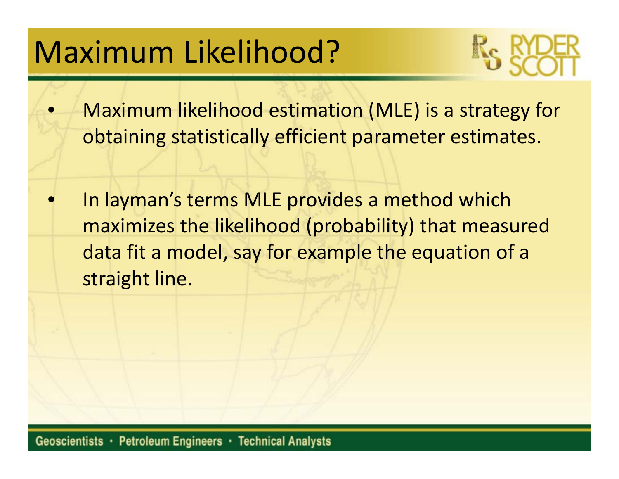# Maximum Likelihood?



- $\bullet$  Maximum likelihood estimation (MLE) is <sup>a</sup> strategy for obtaining statistically efficient parameter estimates.
- •**• In layman's terms MLE provides a method which** maximizes the likelihood (probability) that measured data fit <sup>a</sup> model, say for example the equation of <sup>a</sup> straight line.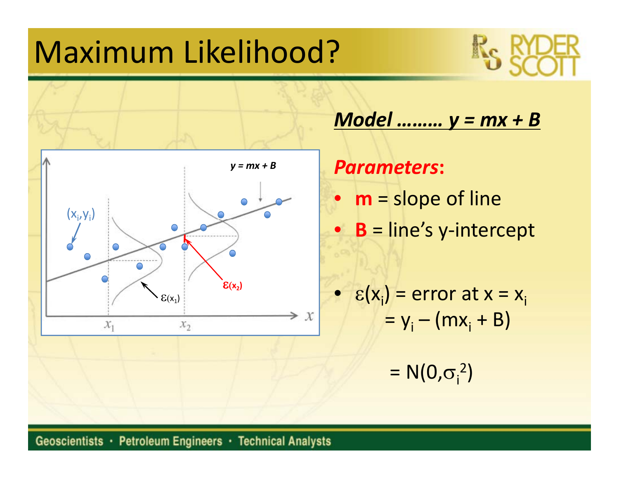# Maximum Likelihood?





*Model ……… y <sup>=</sup> mx <sup>+</sup> B*

*Parameters***:**  $\bullet$  **m** <sup>=</sup> slope of line • **B** <sup>=</sup> line's y‐intercept

$$
\varepsilon(x_i) = error at x = x_i
$$
  
= y<sub>i</sub> - (mx<sub>i</sub> + B)

==  $N(0,\sigma_i^2)$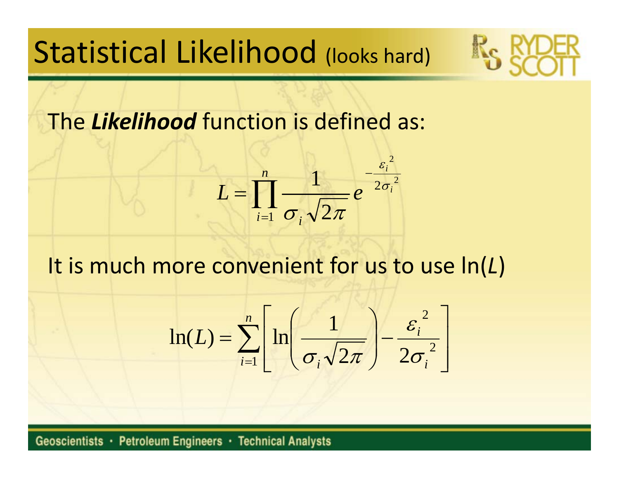# Statistical Likelihood (looks hard)

The *Likelihood* function is defined as:

$$
L = \prod_{i=1}^{n} \frac{1}{\sigma_i \sqrt{2\pi}} e^{-\frac{\varepsilon_i^2}{2\sigma_i^2}}
$$

It is much more convenient for us to use ln(*L*)

$$
\ln(L) = \sum_{i=1}^{n} \left[ \ln \left( \frac{1}{\sigma_i \sqrt{2\pi}} \right) - \frac{\varepsilon_i^2}{2\sigma_i^2} \right]
$$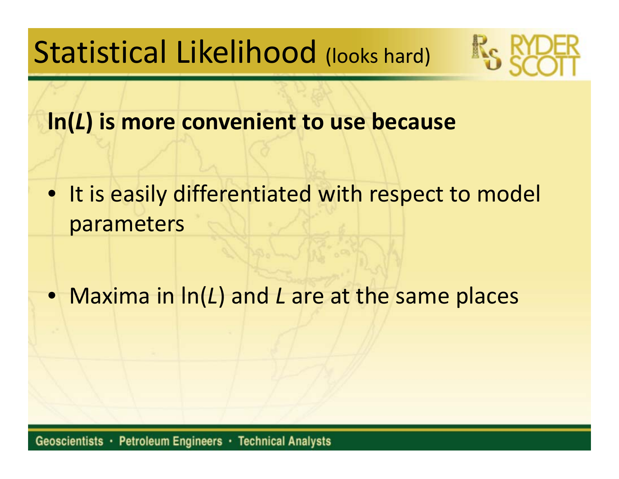Statistical Likelihood (looks hard)



**ln(***L***) is more convenient to use because**

 $\bullet$ **• It is easily differentiated with respect to model** parameters

• Maxima in ln(*L*) and *L* are at the same places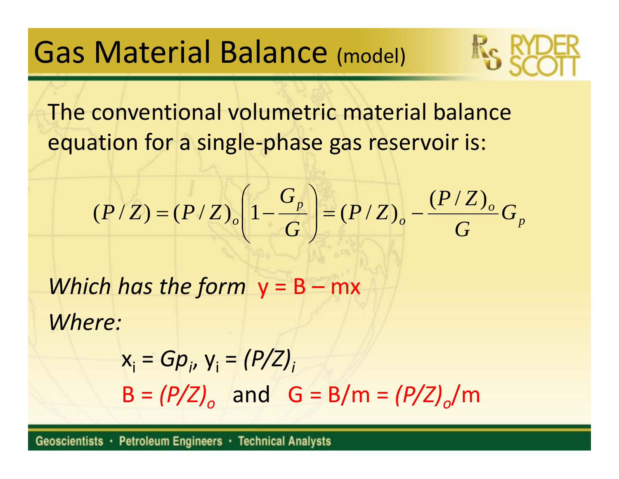## Gas Material Balance (model)

The conventional volumetric material balance equation for <sup>a</sup> single‐phase gas reservoir is:

$$
(P/Z) = (P/Z)_{o} \left( 1 - \frac{G_{p}}{G} \right) = (P/Z)_{o} - \frac{(P/Z)_{o}}{G} G_{p}
$$

*Which has the form* y <sup>=</sup> B – mx *Where:*

> xi <sup>=</sup> *Gpi*, yi <sup>=</sup> *(P/Z)i*  $B = (P/Z)_{o}$  and  $G = B/m = (P/Z)_{o}/m$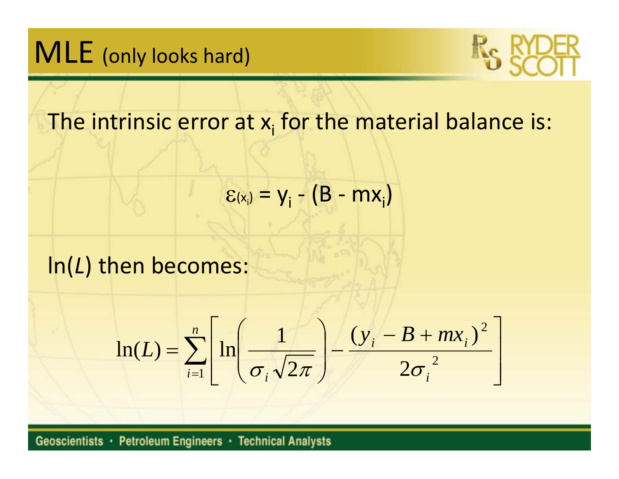# MLE (only looks hard)



The intrinsic error at  $\mathsf{x}_\mathsf{i}$  for the material balance is:

$$
\varepsilon_{(x_i)} = y_i - (B - mx_i)
$$

### ln(*L*) then becomes:

$$
\ln(L) = \sum_{i=1}^{n} \left[ \ln \left( \frac{1}{\sigma_i \sqrt{2\pi}} \right) - \frac{(y_i - B + mx_i)^2}{2\sigma_i^2} \right]
$$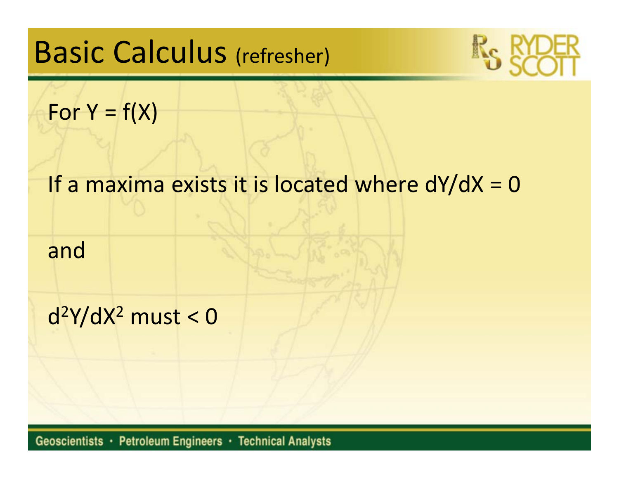# Basic Calculus (refresher)



For Y =  $f(X)$ 

#### If a maxima exists it is located where dY/dX <sup>=</sup> 0

and

 $d^2Y/dX^2$  must < 0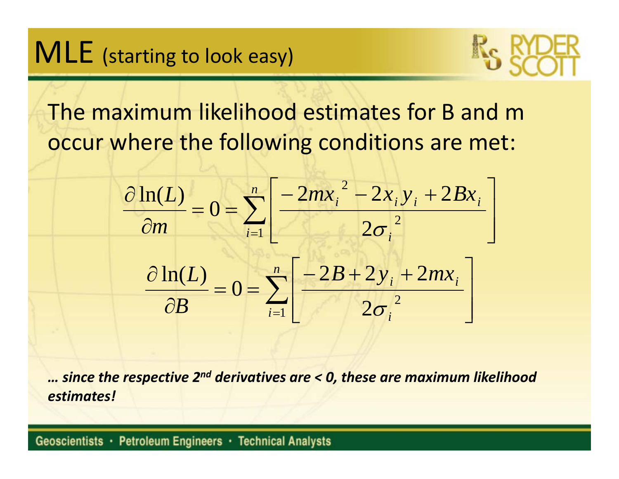# $\mathsf{MLE}\,$  (starting to look easy)



The maximum likelihood estimates for B and <sup>m</sup> occur where the following conditions are met:



*… since the respective 2n<sup>d</sup> derivatives are <sup>&</sup>lt; 0, these are maximum likelihood estimates!*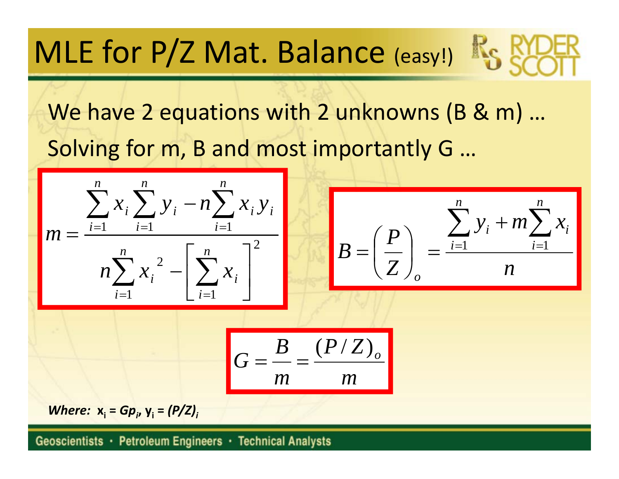# MLE for P/Z Mat. Balance (easy!)

We have 2 equations with 2 unknowns (B & m) … Solving for m, B and most importantly G …

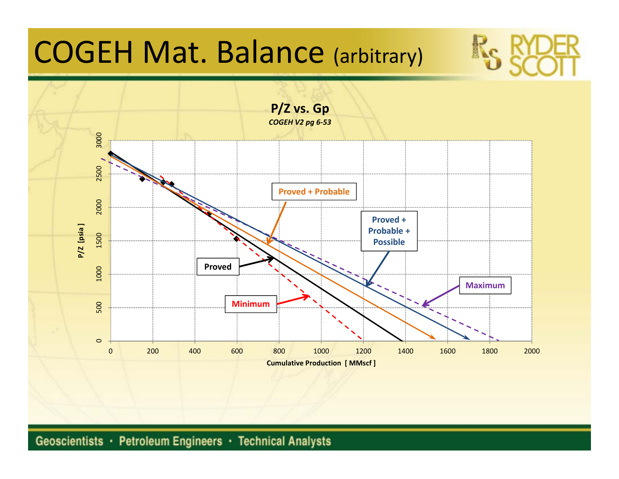# COGEH Mat. Balance (arbitrary)

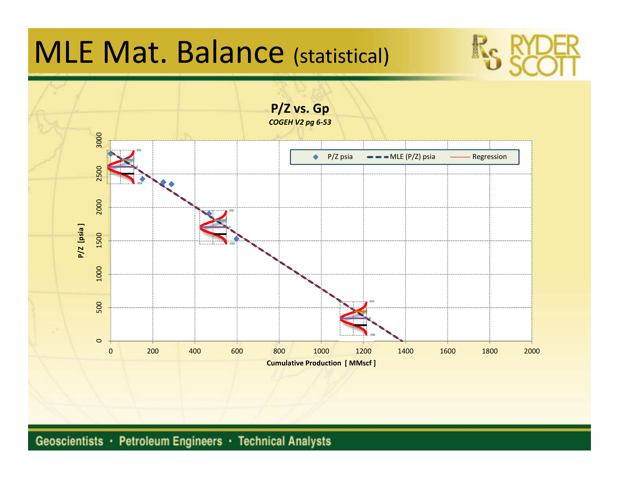# MLE Mat. Balance (statistical)

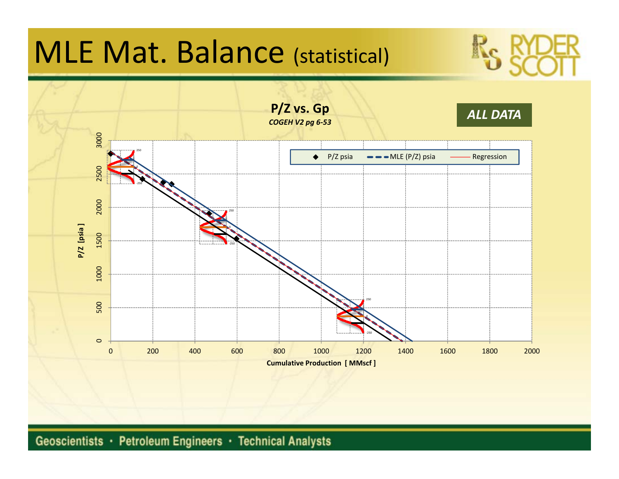# MLE Mat. Balance (statistical)

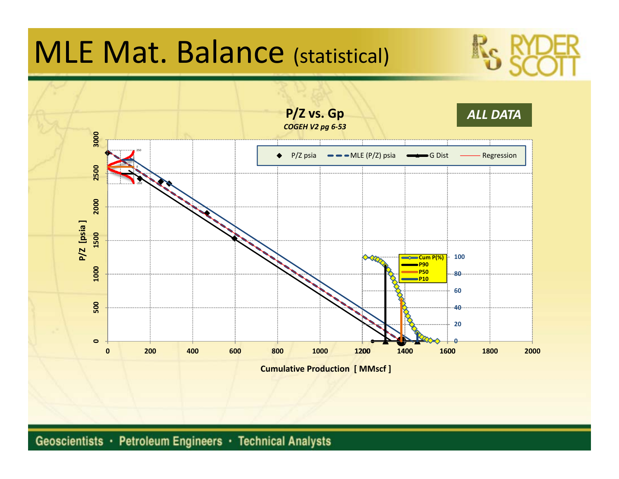# MLE Mat. Balance (statistical)

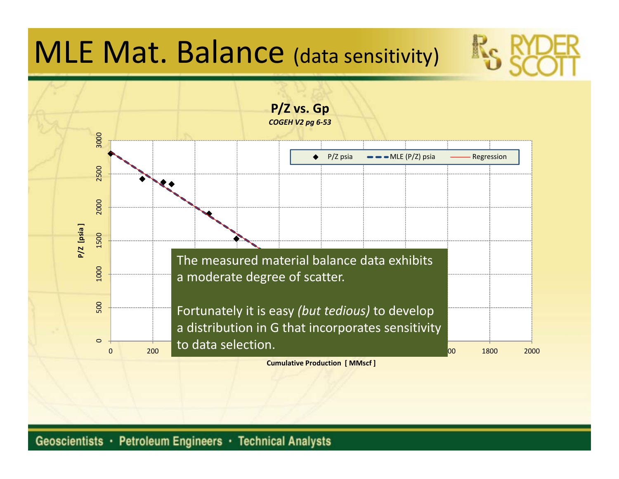# MLE Mat. Balance (data sensitivity)

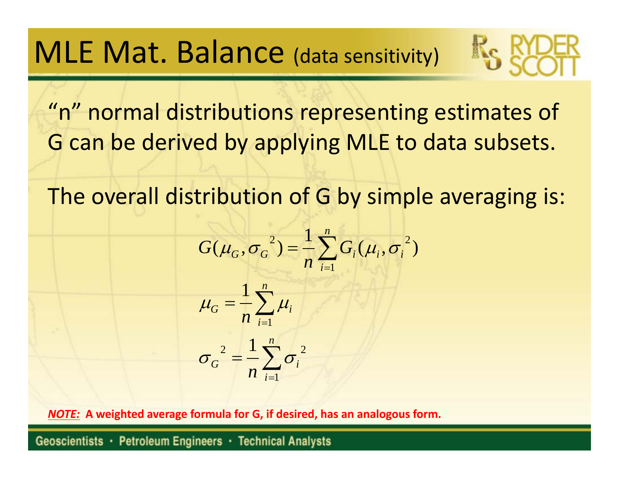## MLE Mat. Balance (data sensitivity)

"n" normal distributions representing estimates of G can be derived by applying MLE to data subsets.

The overall distribution of G by simple averaging is:

$$
G(\mu_G, \sigma_G^2) = \frac{1}{n} \sum_{i=1}^n G_i(\mu_i, \sigma_i^2)
$$
  

$$
\mu_G = \frac{1}{n} \sum_{i=1}^n \mu_i
$$
  

$$
\sigma_G^2 = \frac{1}{n} \sum_{i=1}^n \sigma_i^2
$$

*NOTE:* **A weighted average formula for G, if desired, has an analogous form.**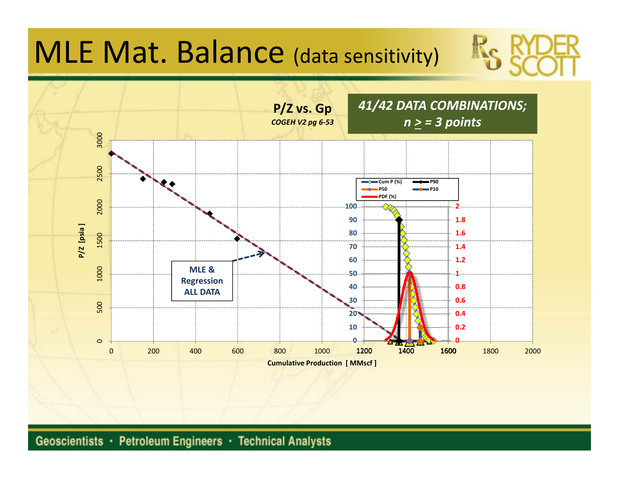# MLE Mat. Balance (data sensitivity)

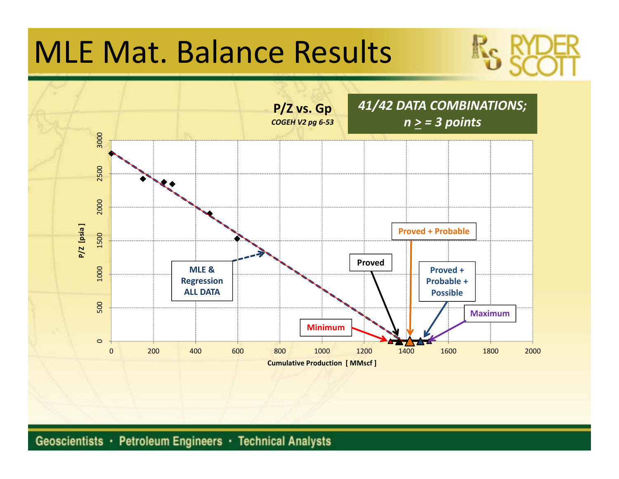# MLE Mat. Balance Results

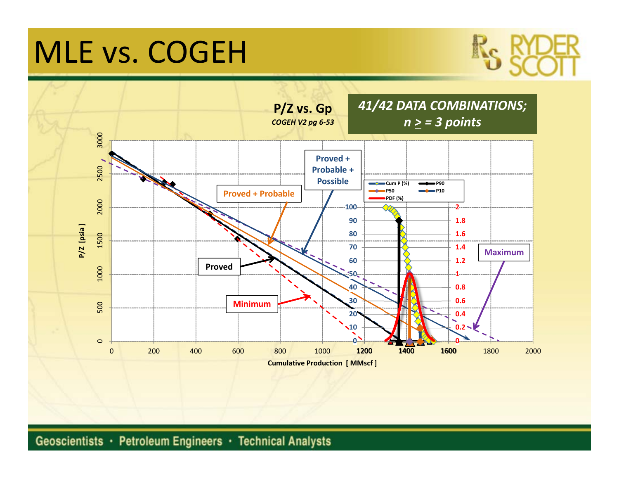# MLE vs. COGEH

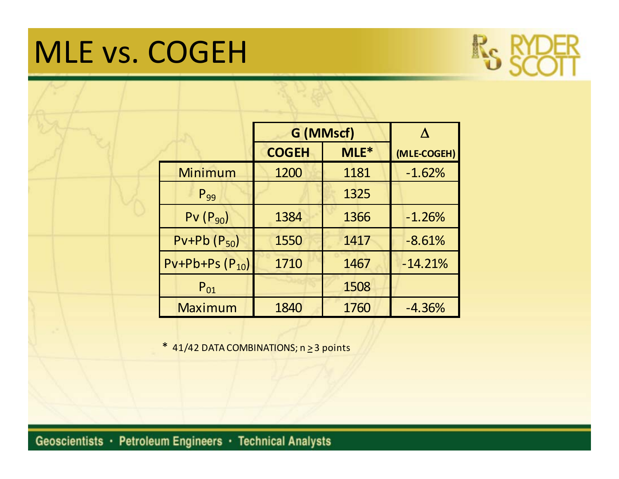# MLE vs. COGEH



|                         | G (MMscf)    |      | Λ           |
|-------------------------|--------------|------|-------------|
|                         | <b>COGEH</b> | MLE* | (MLE-COGEH) |
| Minimum                 | 1200         | 1181 | $-1.62%$    |
| $P_{99}$                |              | 1325 |             |
| $PV(P_{90})$            | 1384         | 1366 | $-1.26%$    |
| $Pv+Pb(P_{50})$         | 1550         | 1417 | $-8.61%$    |
| $PV + Pb + Ps (P_{10})$ | 1710         | 1467 | $-14.21%$   |
| $P_{01}$                |              | 1508 |             |
| <b>Maximum</b>          | 1840         | 1760 | $-4.36%$    |

\* 41/42 DATA COMBINATIONS; n ≥ 3 points